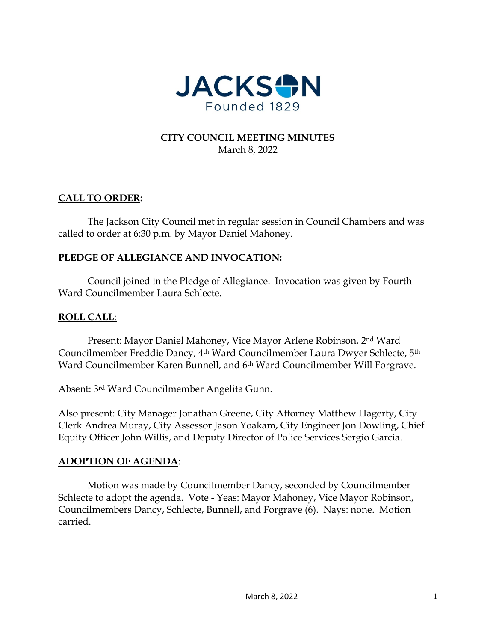

### **CITY COUNCIL MEETING MINUTES** March 8, 2022

## **CALL TO ORDER:**

The Jackson City Council met in regular session in Council Chambers and was called to order at 6:30 p.m. by Mayor Daniel Mahoney.

## **PLEDGE OF ALLEGIANCE AND INVOCATION:**

Council joined in the Pledge of Allegiance. Invocation was given by Fourth Ward Councilmember Laura Schlecte.

## **ROLL CALL**:

Present: Mayor Daniel Mahoney, Vice Mayor Arlene Robinson, 2nd Ward Councilmember Freddie Dancy, 4th Ward Councilmember Laura Dwyer Schlecte, 5th Ward Councilmember Karen Bunnell, and 6<sup>th</sup> Ward Councilmember Will Forgrave.

Absent: 3rd Ward Councilmember Angelita Gunn.

Also present: City Manager Jonathan Greene, City Attorney Matthew Hagerty, City Clerk Andrea Muray, City Assessor Jason Yoakam, City Engineer Jon Dowling, Chief Equity Officer John Willis, and Deputy Director of Police Services Sergio Garcia.

## **ADOPTION OF AGENDA**:

Motion was made by Councilmember Dancy, seconded by Councilmember Schlecte to adopt the agenda. Vote - Yeas: Mayor Mahoney, Vice Mayor Robinson, Councilmembers Dancy, Schlecte, Bunnell, and Forgrave (6). Nays: none. Motion carried.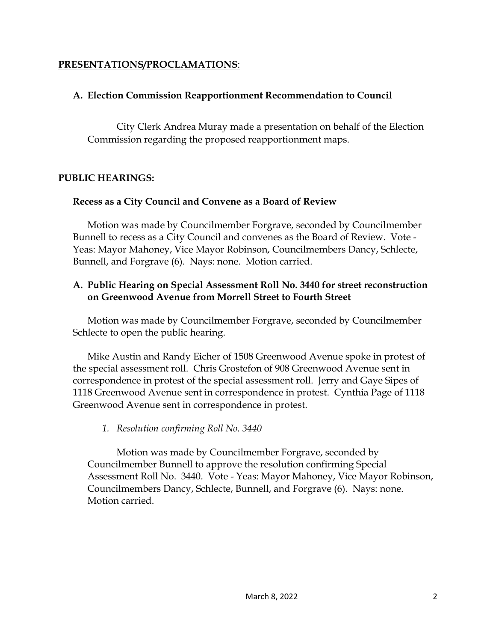#### **PRESENTATIONS/PROCLAMATIONS**:

### **A. Election Commission Reapportionment Recommendation to Council**

City Clerk Andrea Muray made a presentation on behalf of the Election Commission regarding the proposed reapportionment maps.

#### **PUBLIC HEARINGS:**

#### **Recess as a City Council and Convene as a Board of Review**

Motion was made by Councilmember Forgrave, seconded by Councilmember Bunnell to recess as a City Council and convenes as the Board of Review. Vote - Yeas: Mayor Mahoney, Vice Mayor Robinson, Councilmembers Dancy, Schlecte, Bunnell, and Forgrave (6). Nays: none. Motion carried.

## **A. Public Hearing on Special Assessment Roll No. 3440 for street reconstruction on Greenwood Avenue from Morrell Street to Fourth Street**

Motion was made by Councilmember Forgrave, seconded by Councilmember Schlecte to open the public hearing.

Mike Austin and Randy Eicher of 1508 Greenwood Avenue spoke in protest of the special assessment roll. Chris Grostefon of 908 Greenwood Avenue sent in correspondence in protest of the special assessment roll. Jerry and Gaye Sipes of 1118 Greenwood Avenue sent in correspondence in protest. Cynthia Page of 1118 Greenwood Avenue sent in correspondence in protest.

## *1. Resolution confirming Roll No. 3440*

Motion was made by Councilmember Forgrave, seconded by Councilmember Bunnell to approve the resolution confirming Special Assessment Roll No. 3440. Vote - Yeas: Mayor Mahoney, Vice Mayor Robinson, Councilmembers Dancy, Schlecte, Bunnell, and Forgrave (6). Nays: none. Motion carried.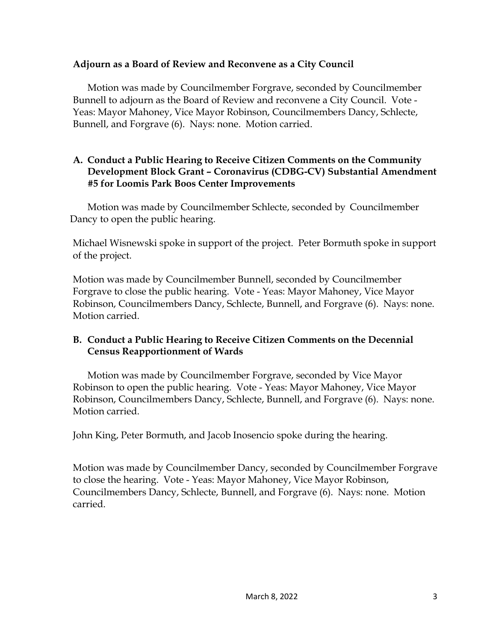#### **Adjourn as a Board of Review and Reconvene as a City Council**

Motion was made by Councilmember Forgrave, seconded by Councilmember Bunnell to adjourn as the Board of Review and reconvene a City Council. Vote - Yeas: Mayor Mahoney, Vice Mayor Robinson, Councilmembers Dancy, Schlecte, Bunnell, and Forgrave (6). Nays: none. Motion carried.

## **A. Conduct a Public Hearing to Receive Citizen Comments on the Community Development Block Grant – Coronavirus (CDBG-CV) Substantial Amendment #5 for Loomis Park Boos Center Improvements**

Motion was made by Councilmember Schlecte, seconded by Councilmember Dancy to open the public hearing.

Michael Wisnewski spoke in support of the project. Peter Bormuth spoke in support of the project.

Motion was made by Councilmember Bunnell, seconded by Councilmember Forgrave to close the public hearing. Vote - Yeas: Mayor Mahoney, Vice Mayor Robinson, Councilmembers Dancy, Schlecte, Bunnell, and Forgrave (6). Nays: none. Motion carried.

## **B. Conduct a Public Hearing to Receive Citizen Comments on the Decennial Census Reapportionment of Wards**

Motion was made by Councilmember Forgrave, seconded by Vice Mayor Robinson to open the public hearing. Vote - Yeas: Mayor Mahoney, Vice Mayor Robinson, Councilmembers Dancy, Schlecte, Bunnell, and Forgrave (6). Nays: none. Motion carried.

John King, Peter Bormuth, and Jacob Inosencio spoke during the hearing.

Motion was made by Councilmember Dancy, seconded by Councilmember Forgrave to close the hearing. Vote - Yeas: Mayor Mahoney, Vice Mayor Robinson, Councilmembers Dancy, Schlecte, Bunnell, and Forgrave (6). Nays: none. Motion carried.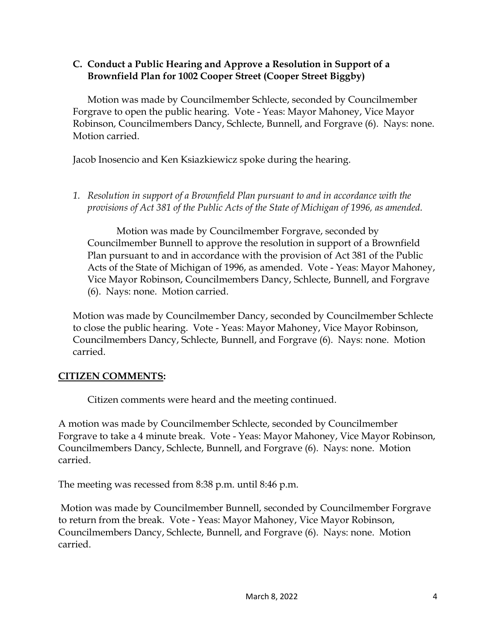### **C. Conduct a Public Hearing and Approve a Resolution in Support of a Brownfield Plan for 1002 Cooper Street (Cooper Street Biggby)**

Motion was made by Councilmember Schlecte, seconded by Councilmember Forgrave to open the public hearing. Vote - Yeas: Mayor Mahoney, Vice Mayor Robinson, Councilmembers Dancy, Schlecte, Bunnell, and Forgrave (6). Nays: none. Motion carried.

Jacob Inosencio and Ken Ksiazkiewicz spoke during the hearing.

*1. Resolution in support of a Brownfield Plan pursuant to and in accordance with the provisions of Act 381 of the Public Acts of the State of Michigan of 1996, as amended.* 

Motion was made by Councilmember Forgrave, seconded by Councilmember Bunnell to approve the resolution in support of a Brownfield Plan pursuant to and in accordance with the provision of Act 381 of the Public Acts of the State of Michigan of 1996, as amended. Vote - Yeas: Mayor Mahoney, Vice Mayor Robinson, Councilmembers Dancy, Schlecte, Bunnell, and Forgrave (6). Nays: none. Motion carried.

Motion was made by Councilmember Dancy, seconded by Councilmember Schlecte to close the public hearing. Vote - Yeas: Mayor Mahoney, Vice Mayor Robinson, Councilmembers Dancy, Schlecte, Bunnell, and Forgrave (6). Nays: none. Motion carried.

# **CITIZEN COMMENTS:**

Citizen comments were heard and the meeting continued.

A motion was made by Councilmember Schlecte, seconded by Councilmember Forgrave to take a 4 minute break. Vote - Yeas: Mayor Mahoney, Vice Mayor Robinson, Councilmembers Dancy, Schlecte, Bunnell, and Forgrave (6). Nays: none. Motion carried.

The meeting was recessed from 8:38 p.m. until 8:46 p.m.

Motion was made by Councilmember Bunnell, seconded by Councilmember Forgrave to return from the break. Vote - Yeas: Mayor Mahoney, Vice Mayor Robinson, Councilmembers Dancy, Schlecte, Bunnell, and Forgrave (6). Nays: none. Motion carried.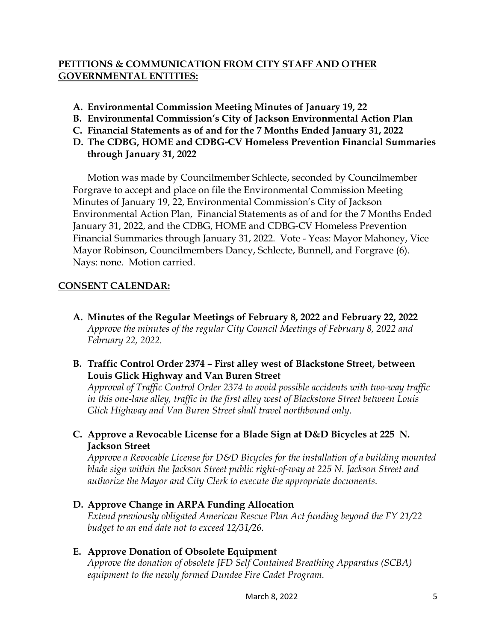## **PETITIONS & COMMUNICATION FROM CITY STAFF AND OTHER GOVERNMENTAL ENTITIES:**

- **A. Environmental Commission Meeting Minutes of January 19, 22**
- **B. Environmental Commission's City of Jackson Environmental Action Plan**
- **C. Financial Statements as of and for the 7 Months Ended January 31, 2022**
- **D. The CDBG, HOME and CDBG-CV Homeless Prevention Financial Summaries through January 31, 2022**

Motion was made by Councilmember Schlecte, seconded by Councilmember Forgrave to accept and place on file the Environmental Commission Meeting Minutes of January 19, 22, Environmental Commission's City of Jackson Environmental Action Plan, Financial Statements as of and for the 7 Months Ended January 31, 2022, and the CDBG, HOME and CDBG-CV Homeless Prevention Financial Summaries through January 31, 2022. Vote - Yeas: Mayor Mahoney, Vice Mayor Robinson, Councilmembers Dancy, Schlecte, Bunnell, and Forgrave (6). Nays: none. Motion carried.

## **CONSENT CALENDAR:**

- **A. Minutes of the Regular Meetings of February 8, 2022 and February 22, 2022** *Approve the minutes of the regular City Council Meetings of February 8, 2022 and February 22, 2022.*
- **B. Traffic Control Order 2374 – First alley west of Blackstone Street, between Louis Glick Highway and Van Buren Street**

*Approval of Traffic Control Order 2374 to avoid possible accidents with two-way traffic in this one-lane alley, traffic in the first alley west of Blackstone Street between Louis Glick Highway and Van Buren Street shall travel northbound only.* 

**C. Approve a Revocable License for a Blade Sign at D&D Bicycles at 225 N. Jackson Street** 

*Approve a Revocable License for D&D Bicycles for the installation of a building mounted blade sign within the Jackson Street public right-of-way at 225 N. Jackson Street and authorize the Mayor and City Clerk to execute the appropriate documents.* 

**D. Approve Change in ARPA Funding Allocation** 

*Extend previously obligated American Rescue Plan Act funding beyond the FY 21/22 budget to an end date not to exceed 12/31/26.* 

## **E. Approve Donation of Obsolete Equipment**

*Approve the donation of obsolete JFD Self Contained Breathing Apparatus (SCBA) equipment to the newly formed Dundee Fire Cadet Program.*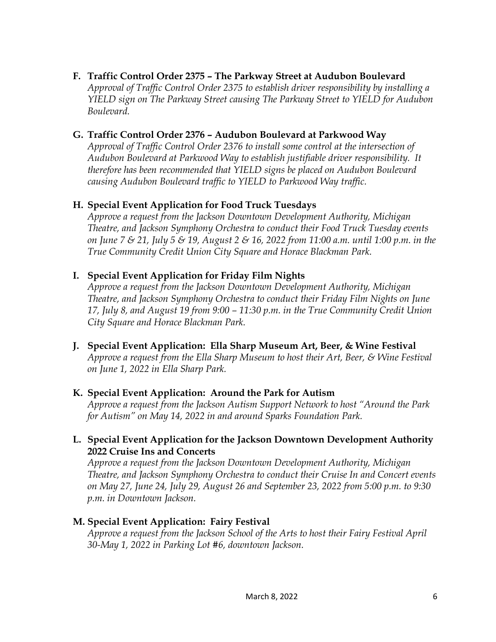## **F. Traffic Control Order 2375 – The Parkway Street at Audubon Boulevard**

*Approval of Traffic Control Order 2375 to establish driver responsibility by installing a YIELD sign on The Parkway Street causing The Parkway Street to YIELD for Audubon Boulevard.*

## **G. Traffic Control Order 2376 – Audubon Boulevard at Parkwood Way**

*Approval of Traffic Control Order 2376 to install some control at the intersection of Audubon Boulevard at Parkwood Way to establish justifiable driver responsibility. It therefore has been recommended that YIELD signs be placed on Audubon Boulevard causing Audubon Boulevard traffic to YIELD to Parkwood Way traffic.* 

# **H. Special Event Application for Food Truck Tuesdays**

*Approve a request from the Jackson Downtown Development Authority, Michigan Theatre, and Jackson Symphony Orchestra to conduct their Food Truck Tuesday events on June 7 & 21, July 5 & 19, August 2 & 16, 2022 from 11:00 a.m. until 1:00 p.m. in the True Community Credit Union City Square and Horace Blackman Park.* 

## **I. Special Event Application for Friday Film Nights**

*Approve a request from the Jackson Downtown Development Authority, Michigan Theatre, and Jackson Symphony Orchestra to conduct their Friday Film Nights on June 17, July 8, and August 19 from 9:00 – 11:30 p.m. in the True Community Credit Union City Square and Horace Blackman Park.* 

**J. Special Event Application: Ella Sharp Museum Art, Beer, & Wine Festival**  *Approve a request from the Ella Sharp Museum to host their Art, Beer, & Wine Festival on June 1, 2022 in Ella Sharp Park.* 

## **K. Special Event Application: Around the Park for Autism**

*Approve a request from the Jackson Autism Support Network to host "Around the Park for Autism" on May 14, 2022 in and around Sparks Foundation Park.* 

## **L. Special Event Application for the Jackson Downtown Development Authority 2022 Cruise Ins and Concerts**

*Approve a request from the Jackson Downtown Development Authority, Michigan Theatre, and Jackson Symphony Orchestra to conduct their Cruise In and Concert events on May 27, June 24, July 29, August 26 and September 23, 2022 from 5:00 p.m. to 9:30 p.m. in Downtown Jackson.* 

## **M. Special Event Application: Fairy Festival**

*Approve a request from the Jackson School of the Arts to host their Fairy Festival April 30-May 1, 2022 in Parking Lot #6, downtown Jackson.*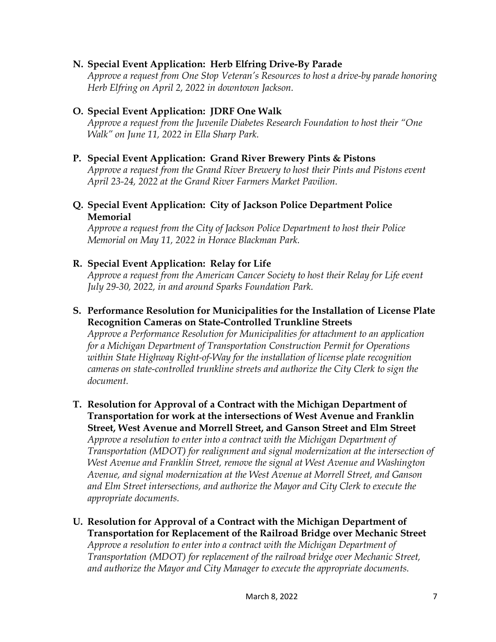### **N. Special Event Application: Herb Elfring Drive-By Parade**

*Approve a request from One Stop Veteran's Resources to host a drive-by parade honoring Herb Elfring on April 2, 2022 in downtown Jackson.* 

#### **O. Special Event Application: JDRF One Walk**

*Approve a request from the Juvenile Diabetes Research Foundation to host their "One Walk" on June 11, 2022 in Ella Sharp Park.* 

#### **P. Special Event Application: Grand River Brewery Pints & Pistons**

*Approve a request from the Grand River Brewery to host their Pints and Pistons event April 23-24, 2022 at the Grand River Farmers Market Pavilion.* 

#### **Q. Special Event Application: City of Jackson Police Department Police Memorial**

*Approve a request from the City of Jackson Police Department to host their Police Memorial on May 11, 2022 in Horace Blackman Park.* 

## **R. Special Event Application: Relay for Life**

*Approve a request from the American Cancer Society to host their Relay for Life event July 29-30, 2022, in and around Sparks Foundation Park.* 

## **S. Performance Resolution for Municipalities for the Installation of License Plate Recognition Cameras on State-Controlled Trunkline Streets**

*Approve a Performance Resolution for Municipalities for attachment to an application for a Michigan Department of Transportation Construction Permit for Operations within State Highway Right-of-Way for the installation of license plate recognition cameras on state-controlled trunkline streets and authorize the City Clerk to sign the document.* 

#### **T. Resolution for Approval of a Contract with the Michigan Department of Transportation for work at the intersections of West Avenue and Franklin Street, West Avenue and Morrell Street, and Ganson Street and Elm Street**  *Approve a resolution to enter into a contract with the Michigan Department of Transportation (MDOT) for realignment and signal modernization at the intersection of West Avenue and Franklin Street, remove the signal at West Avenue and Washington Avenue, and signal modernization at the West Avenue at Morrell Street, and Ganson and Elm Street intersections, and authorize the Mayor and City Clerk to execute the appropriate documents.*

**U. Resolution for Approval of a Contract with the Michigan Department of Transportation for Replacement of the Railroad Bridge over Mechanic Street** *Approve a resolution to enter into a contract with the Michigan Department of Transportation (MDOT) for replacement of the railroad bridge over Mechanic Street, and authorize the Mayor and City Manager to execute the appropriate documents.*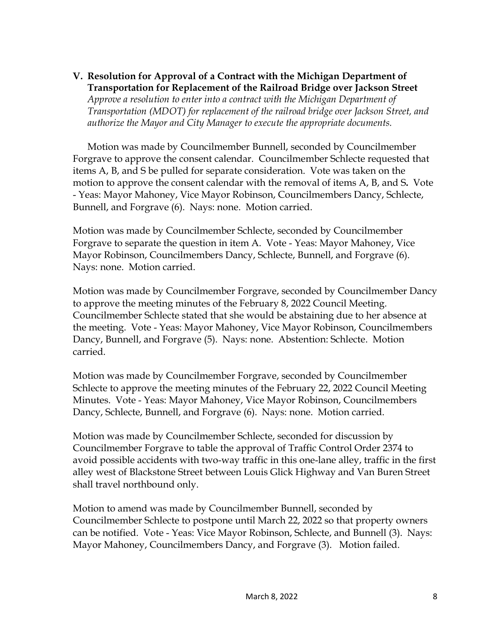### **V. Resolution for Approval of a Contract with the Michigan Department of Transportation for Replacement of the Railroad Bridge over Jackson Street**

*Approve a resolution to enter into a contract with the Michigan Department of Transportation (MDOT) for replacement of the railroad bridge over Jackson Street, and authorize the Mayor and City Manager to execute the appropriate documents.* 

Motion was made by Councilmember Bunnell, seconded by Councilmember Forgrave to approve the consent calendar. Councilmember Schlecte requested that items A, B, and S be pulled for separate consideration. Vote was taken on the motion to approve the consent calendar with the removal of items A, B, and S**.** Vote - Yeas: Mayor Mahoney, Vice Mayor Robinson, Councilmembers Dancy, Schlecte, Bunnell, and Forgrave (6). Nays: none. Motion carried.

Motion was made by Councilmember Schlecte, seconded by Councilmember Forgrave to separate the question in item A. Vote - Yeas: Mayor Mahoney, Vice Mayor Robinson, Councilmembers Dancy, Schlecte, Bunnell, and Forgrave (6). Nays: none. Motion carried.

Motion was made by Councilmember Forgrave, seconded by Councilmember Dancy to approve the meeting minutes of the February 8, 2022 Council Meeting. Councilmember Schlecte stated that she would be abstaining due to her absence at the meeting. Vote - Yeas: Mayor Mahoney, Vice Mayor Robinson, Councilmembers Dancy, Bunnell, and Forgrave (5). Nays: none. Abstention: Schlecte. Motion carried.

Motion was made by Councilmember Forgrave, seconded by Councilmember Schlecte to approve the meeting minutes of the February 22, 2022 Council Meeting Minutes. Vote - Yeas: Mayor Mahoney, Vice Mayor Robinson, Councilmembers Dancy, Schlecte, Bunnell, and Forgrave (6). Nays: none. Motion carried.

Motion was made by Councilmember Schlecte, seconded for discussion by Councilmember Forgrave to table the approval of Traffic Control Order 2374 to avoid possible accidents with two-way traffic in this one-lane alley, traffic in the first alley west of Blackstone Street between Louis Glick Highway and Van Buren Street shall travel northbound only.

Motion to amend was made by Councilmember Bunnell, seconded by Councilmember Schlecte to postpone until March 22, 2022 so that property owners can be notified. Vote - Yeas: Vice Mayor Robinson, Schlecte, and Bunnell (3). Nays: Mayor Mahoney, Councilmembers Dancy, and Forgrave (3). Motion failed.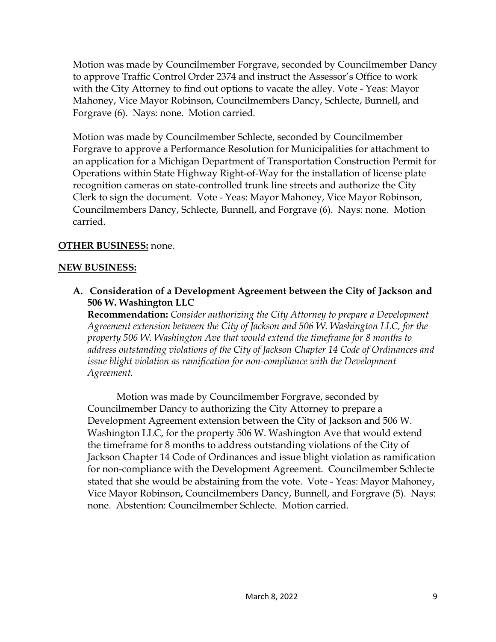Motion was made by Councilmember Forgrave, seconded by Councilmember Dancy to approve Traffic Control Order 2374 and instruct the Assessor's Office to work with the City Attorney to find out options to vacate the alley. Vote - Yeas: Mayor Mahoney, Vice Mayor Robinson, Councilmembers Dancy, Schlecte, Bunnell, and Forgrave (6). Nays: none. Motion carried.

Motion was made by Councilmember Schlecte, seconded by Councilmember Forgrave to approve a Performance Resolution for Municipalities for attachment to an application for a Michigan Department of Transportation Construction Permit for Operations within State Highway Right-of-Way for the installation of license plate recognition cameras on state-controlled trunk line streets and authorize the City Clerk to sign the document. Vote - Yeas: Mayor Mahoney, Vice Mayor Robinson, Councilmembers Dancy, Schlecte, Bunnell, and Forgrave (6). Nays: none. Motion carried.

## **OTHER BUSINESS:** none.

## **NEW BUSINESS:**

**A. Consideration of a Development Agreement between the City of Jackson and 506 W. Washington LLC**

**Recommendation:** *Consider authorizing the City Attorney to prepare a Development Agreement extension between the City of Jackson and 506 W. Washington LLC, for the property 506 W. Washington Ave that would extend the timeframe for 8 months to address outstanding violations of the City of Jackson Chapter 14 Code of Ordinances and issue blight violation as ramification for non-compliance with the Development Agreement.* 

Motion was made by Councilmember Forgrave, seconded by Councilmember Dancy to authorizing the City Attorney to prepare a Development Agreement extension between the City of Jackson and 506 W. Washington LLC, for the property 506 W. Washington Ave that would extend the timeframe for 8 months to address outstanding violations of the City of Jackson Chapter 14 Code of Ordinances and issue blight violation as ramification for non-compliance with the Development Agreement. Councilmember Schlecte stated that she would be abstaining from the vote. Vote - Yeas: Mayor Mahoney, Vice Mayor Robinson, Councilmembers Dancy, Bunnell, and Forgrave (5). Nays: none. Abstention: Councilmember Schlecte. Motion carried.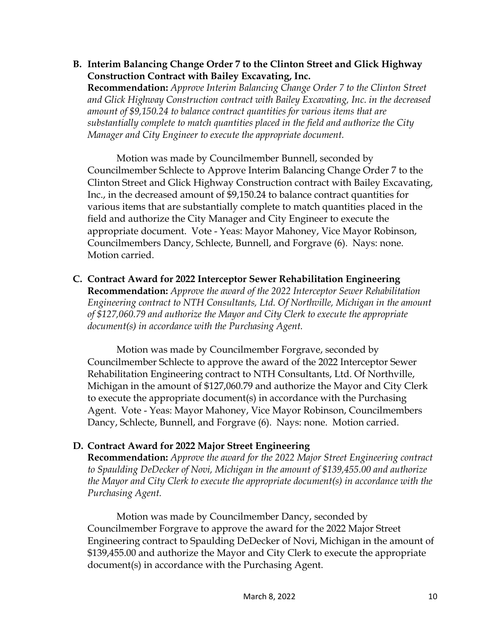## **B. Interim Balancing Change Order 7 to the Clinton Street and Glick Highway Construction Contract with Bailey Excavating, Inc.**

**Recommendation:** *Approve Interim Balancing Change Order 7 to the Clinton Street and Glick Highway Construction contract with Bailey Excavating, Inc. in the decreased amount of \$9,150.24 to balance contract quantities for various items that are substantially complete to match quantities placed in the field and authorize the City Manager and City Engineer to execute the appropriate document.* 

Motion was made by Councilmember Bunnell, seconded by Councilmember Schlecte to Approve Interim Balancing Change Order 7 to the Clinton Street and Glick Highway Construction contract with Bailey Excavating, Inc., in the decreased amount of \$9,150.24 to balance contract quantities for various items that are substantially complete to match quantities placed in the field and authorize the City Manager and City Engineer to execute the appropriate document. Vote - Yeas: Mayor Mahoney, Vice Mayor Robinson, Councilmembers Dancy, Schlecte, Bunnell, and Forgrave (6). Nays: none. Motion carried.

**C. Contract Award for 2022 Interceptor Sewer Rehabilitation Engineering Recommendation:** *Approve the award of the 2022 Interceptor Sewer Rehabilitation Engineering contract to NTH Consultants, Ltd. Of Northville, Michigan in the amount of \$127,060.79 and authorize the Mayor and City Clerk to execute the appropriate document(s) in accordance with the Purchasing Agent.* 

Motion was made by Councilmember Forgrave, seconded by Councilmember Schlecte to approve the award of the 2022 Interceptor Sewer Rehabilitation Engineering contract to NTH Consultants, Ltd. Of Northville, Michigan in the amount of \$127,060.79 and authorize the Mayor and City Clerk to execute the appropriate document(s) in accordance with the Purchasing Agent. Vote - Yeas: Mayor Mahoney, Vice Mayor Robinson, Councilmembers Dancy, Schlecte, Bunnell, and Forgrave (6). Nays: none. Motion carried.

# **D. Contract Award for 2022 Major Street Engineering**

**Recommendation:** *Approve the award for the 2022 Major Street Engineering contract to Spaulding DeDecker of Novi, Michigan in the amount of \$139,455.00 and authorize the Mayor and City Clerk to execute the appropriate document(s) in accordance with the Purchasing Agent.* 

Motion was made by Councilmember Dancy, seconded by Councilmember Forgrave to approve the award for the 2022 Major Street Engineering contract to Spaulding DeDecker of Novi, Michigan in the amount of \$139,455.00 and authorize the Mayor and City Clerk to execute the appropriate document(s) in accordance with the Purchasing Agent.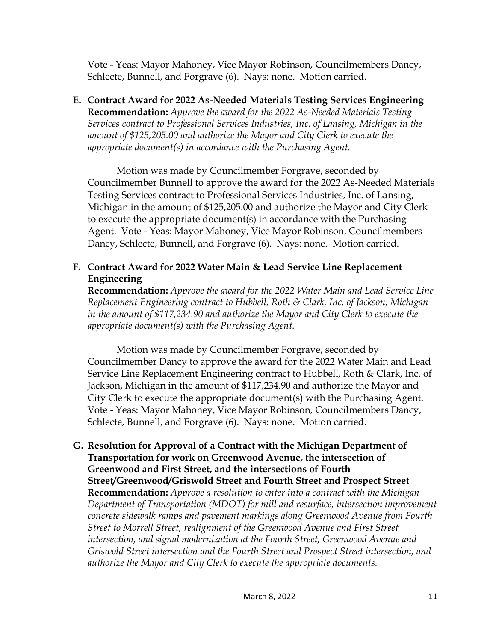Vote - Yeas: Mayor Mahoney, Vice Mayor Robinson, Councilmembers Dancy, Schlecte, Bunnell, and Forgrave (6). Nays: none. Motion carried.

**E. Contract Award for 2022 As-Needed Materials Testing Services Engineering Recommendation:** *Approve the award for the 2022 As-Needed Materials Testing Services contract to Professional Services Industries, Inc. of Lansing, Michigan in the amount of \$125,205.00 and authorize the Mayor and City Clerk to execute the appropriate document(s) in accordance with the Purchasing Agent.* 

Motion was made by Councilmember Forgrave, seconded by Councilmember Bunnell to approve the award for the 2022 As-Needed Materials Testing Services contract to Professional Services Industries, Inc. of Lansing, Michigan in the amount of \$125,205.00 and authorize the Mayor and City Clerk to execute the appropriate document(s) in accordance with the Purchasing Agent. Vote - Yeas: Mayor Mahoney, Vice Mayor Robinson, Councilmembers Dancy, Schlecte, Bunnell, and Forgrave (6). Nays: none. Motion carried.

**F. Contract Award for 2022 Water Main & Lead Service Line Replacement Engineering** 

**Recommendation:** *Approve the award for the 2022 Water Main and Lead Service Line Replacement Engineering contract to Hubbell, Roth & Clark, Inc. of Jackson, Michigan in the amount of \$117,234.90 and authorize the Mayor and City Clerk to execute the appropriate document(s) with the Purchasing Agent.* 

Motion was made by Councilmember Forgrave, seconded by Councilmember Dancy to approve the award for the 2022 Water Main and Lead Service Line Replacement Engineering contract to Hubbell, Roth & Clark, Inc. of Jackson, Michigan in the amount of \$117,234.90 and authorize the Mayor and City Clerk to execute the appropriate document(s) with the Purchasing Agent. Vote - Yeas: Mayor Mahoney, Vice Mayor Robinson, Councilmembers Dancy, Schlecte, Bunnell, and Forgrave (6). Nays: none. Motion carried.

### **G. Resolution for Approval of a Contract with the Michigan Department of Transportation for work on Greenwood Avenue, the intersection of Greenwood and First Street, and the intersections of Fourth Street/Greenwood/Griswold Street and Fourth Street and Prospect Street Recommendation:** *Approve a resolution to enter into a contract with the Michigan Department of Transportation (MDOT) for mill and resurface, intersection improvement concrete sidewalk ramps and pavement markings along Greenwood Avenue from Fourth Street to Morrell Street, realignment of the Greenwood Avenue and First Street intersection, and signal modernization at the Fourth Street, Greenwood Avenue and*

*Griswold Street intersection and the Fourth Street and Prospect Street intersection, and authorize the Mayor and City Clerk to execute the appropriate documents.*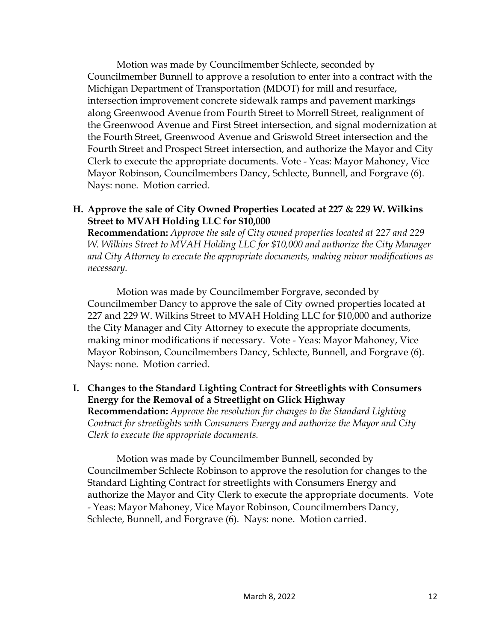Motion was made by Councilmember Schlecte, seconded by Councilmember Bunnell to approve a resolution to enter into a contract with the Michigan Department of Transportation (MDOT) for mill and resurface, intersection improvement concrete sidewalk ramps and pavement markings along Greenwood Avenue from Fourth Street to Morrell Street, realignment of the Greenwood Avenue and First Street intersection, and signal modernization at the Fourth Street, Greenwood Avenue and Griswold Street intersection and the Fourth Street and Prospect Street intersection, and authorize the Mayor and City Clerk to execute the appropriate documents. Vote - Yeas: Mayor Mahoney, Vice Mayor Robinson, Councilmembers Dancy, Schlecte, Bunnell, and Forgrave (6). Nays: none. Motion carried.

#### **H. Approve the sale of City Owned Properties Located at 227 & 229 W. Wilkins Street to MVAH Holding LLC for \$10,000**

**Recommendation:** *Approve the sale of City owned properties located at 227 and 229 W. Wilkins Street to MVAH Holding LLC for \$10,000 and authorize the City Manager and City Attorney to execute the appropriate documents, making minor modifications as necessary.* 

Motion was made by Councilmember Forgrave, seconded by Councilmember Dancy to approve the sale of City owned properties located at 227 and 229 W. Wilkins Street to MVAH Holding LLC for \$10,000 and authorize the City Manager and City Attorney to execute the appropriate documents, making minor modifications if necessary. Vote - Yeas: Mayor Mahoney, Vice Mayor Robinson, Councilmembers Dancy, Schlecte, Bunnell, and Forgrave (6). Nays: none. Motion carried.

## **I. Changes to the Standard Lighting Contract for Streetlights with Consumers Energy for the Removal of a Streetlight on Glick Highway**

**Recommendation:** *Approve the resolution for changes to the Standard Lighting Contract for streetlights with Consumers Energy and authorize the Mayor and City Clerk to execute the appropriate documents.* 

Motion was made by Councilmember Bunnell, seconded by Councilmember Schlecte Robinson to approve the resolution for changes to the Standard Lighting Contract for streetlights with Consumers Energy and authorize the Mayor and City Clerk to execute the appropriate documents. Vote - Yeas: Mayor Mahoney, Vice Mayor Robinson, Councilmembers Dancy, Schlecte, Bunnell, and Forgrave (6). Nays: none. Motion carried.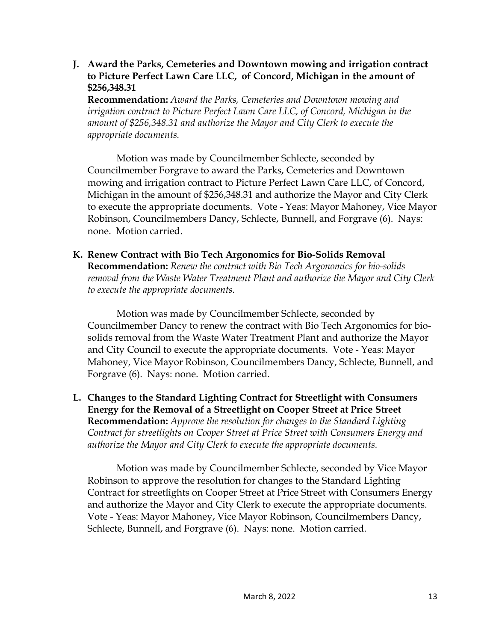#### **J. Award the Parks, Cemeteries and Downtown mowing and irrigation contract to Picture Perfect Lawn Care LLC, of Concord, Michigan in the amount of \$256,348.31**

**Recommendation:** *Award the Parks, Cemeteries and Downtown mowing and irrigation contract to Picture Perfect Lawn Care LLC, of Concord, Michigan in the amount of \$256,348.31 and authorize the Mayor and City Clerk to execute the appropriate documents.* 

Motion was made by Councilmember Schlecte, seconded by Councilmember Forgrave to award the Parks, Cemeteries and Downtown mowing and irrigation contract to Picture Perfect Lawn Care LLC, of Concord, Michigan in the amount of \$256,348.31 and authorize the Mayor and City Clerk to execute the appropriate documents. Vote - Yeas: Mayor Mahoney, Vice Mayor Robinson, Councilmembers Dancy, Schlecte, Bunnell, and Forgrave (6). Nays: none. Motion carried.

**K. Renew Contract with Bio Tech Argonomics for Bio-Solids Removal Recommendation:** *Renew the contract with Bio Tech Argonomics for bio-solids removal from the Waste Water Treatment Plant and authorize the Mayor and City Clerk to execute the appropriate documents.* 

Motion was made by Councilmember Schlecte, seconded by Councilmember Dancy to renew the contract with Bio Tech Argonomics for biosolids removal from the Waste Water Treatment Plant and authorize the Mayor and City Council to execute the appropriate documents. Vote - Yeas: Mayor Mahoney, Vice Mayor Robinson, Councilmembers Dancy, Schlecte, Bunnell, and Forgrave (6). Nays: none. Motion carried.

**L. Changes to the Standard Lighting Contract for Streetlight with Consumers Energy for the Removal of a Streetlight on Cooper Street at Price Street Recommendation:** *Approve the resolution for changes to the Standard Lighting Contract for streetlights on Cooper Street at Price Street with Consumers Energy and authorize the Mayor and City Clerk to execute the appropriate documents.* 

Motion was made by Councilmember Schlecte, seconded by Vice Mayor Robinson to approve the resolution for changes to the Standard Lighting Contract for streetlights on Cooper Street at Price Street with Consumers Energy and authorize the Mayor and City Clerk to execute the appropriate documents. Vote - Yeas: Mayor Mahoney, Vice Mayor Robinson, Councilmembers Dancy, Schlecte, Bunnell, and Forgrave (6). Nays: none. Motion carried.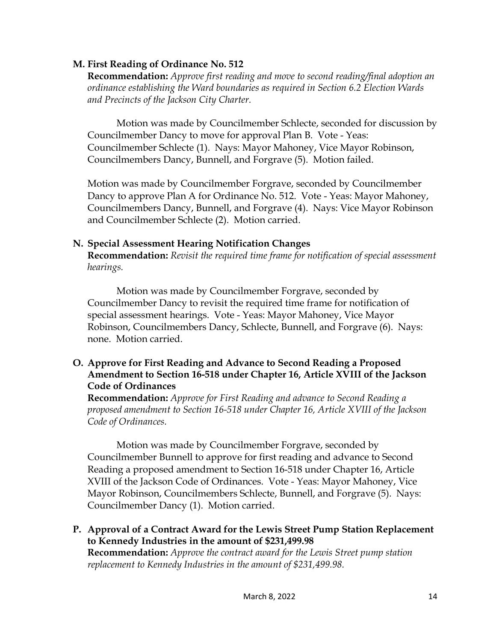### **M. First Reading of Ordinance No. 512**

**Recommendation:** *Approve first reading and move to second reading/final adoption an ordinance establishing the Ward boundaries as required in Section 6.2 Election Wards and Precincts of the Jackson City Charter.*

Motion was made by Councilmember Schlecte, seconded for discussion by Councilmember Dancy to move for approval Plan B. Vote - Yeas: Councilmember Schlecte (1). Nays: Mayor Mahoney, Vice Mayor Robinson, Councilmembers Dancy, Bunnell, and Forgrave (5). Motion failed.

Motion was made by Councilmember Forgrave, seconded by Councilmember Dancy to approve Plan A for Ordinance No. 512. Vote - Yeas: Mayor Mahoney, Councilmembers Dancy, Bunnell, and Forgrave (4). Nays: Vice Mayor Robinson and Councilmember Schlecte (2). Motion carried.

#### **N. Special Assessment Hearing Notification Changes**

**Recommendation:** *Revisit the required time frame for notification of special assessment hearings.* 

Motion was made by Councilmember Forgrave, seconded by Councilmember Dancy to revisit the required time frame for notification of special assessment hearings. Vote - Yeas: Mayor Mahoney, Vice Mayor Robinson, Councilmembers Dancy, Schlecte, Bunnell, and Forgrave (6). Nays: none. Motion carried.

## **O. Approve for First Reading and Advance to Second Reading a Proposed Amendment to Section 16-518 under Chapter 16, Article XVIII of the Jackson Code of Ordinances**

**Recommendation:** *Approve for First Reading and advance to Second Reading a proposed amendment to Section 16-518 under Chapter 16, Article XVIII of the Jackson Code of Ordinances.* 

Motion was made by Councilmember Forgrave, seconded by Councilmember Bunnell to approve for first reading and advance to Second Reading a proposed amendment to Section 16-518 under Chapter 16, Article XVIII of the Jackson Code of Ordinances. Vote - Yeas: Mayor Mahoney, Vice Mayor Robinson, Councilmembers Schlecte, Bunnell, and Forgrave (5). Nays: Councilmember Dancy (1). Motion carried.

**P. Approval of a Contract Award for the Lewis Street Pump Station Replacement to Kennedy Industries in the amount of \$231,499.98 Recommendation:** *Approve the contract award for the Lewis Street pump station replacement to Kennedy Industries in the amount of \$231,499.98.*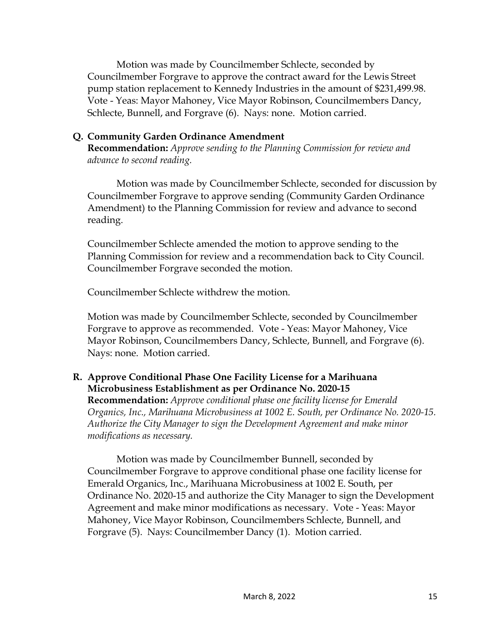Motion was made by Councilmember Schlecte, seconded by Councilmember Forgrave to approve the contract award for the Lewis Street pump station replacement to Kennedy Industries in the amount of \$231,499.98. Vote - Yeas: Mayor Mahoney, Vice Mayor Robinson, Councilmembers Dancy, Schlecte, Bunnell, and Forgrave (6). Nays: none. Motion carried.

### **Q. Community Garden Ordinance Amendment**

**Recommendation:** *Approve sending to the Planning Commission for review and advance to second reading.* 

Motion was made by Councilmember Schlecte, seconded for discussion by Councilmember Forgrave to approve sending (Community Garden Ordinance Amendment) to the Planning Commission for review and advance to second reading.

Councilmember Schlecte amended the motion to approve sending to the Planning Commission for review and a recommendation back to City Council. Councilmember Forgrave seconded the motion.

Councilmember Schlecte withdrew the motion.

Motion was made by Councilmember Schlecte, seconded by Councilmember Forgrave to approve as recommended. Vote - Yeas: Mayor Mahoney, Vice Mayor Robinson, Councilmembers Dancy, Schlecte, Bunnell, and Forgrave (6). Nays: none. Motion carried.

## **R. Approve Conditional Phase One Facility License for a Marihuana Microbusiness Establishment as per Ordinance No. 2020-15**

**Recommendation:** *Approve conditional phase one facility license for Emerald Organics, Inc., Marihuana Microbusiness at 1002 E. South, per Ordinance No. 2020-15. Authorize the City Manager to sign the Development Agreement and make minor modifications as necessary.* 

Motion was made by Councilmember Bunnell, seconded by Councilmember Forgrave to approve conditional phase one facility license for Emerald Organics, Inc., Marihuana Microbusiness at 1002 E. South, per Ordinance No. 2020-15 and authorize the City Manager to sign the Development Agreement and make minor modifications as necessary. Vote - Yeas: Mayor Mahoney, Vice Mayor Robinson, Councilmembers Schlecte, Bunnell, and Forgrave (5). Nays: Councilmember Dancy (1). Motion carried.